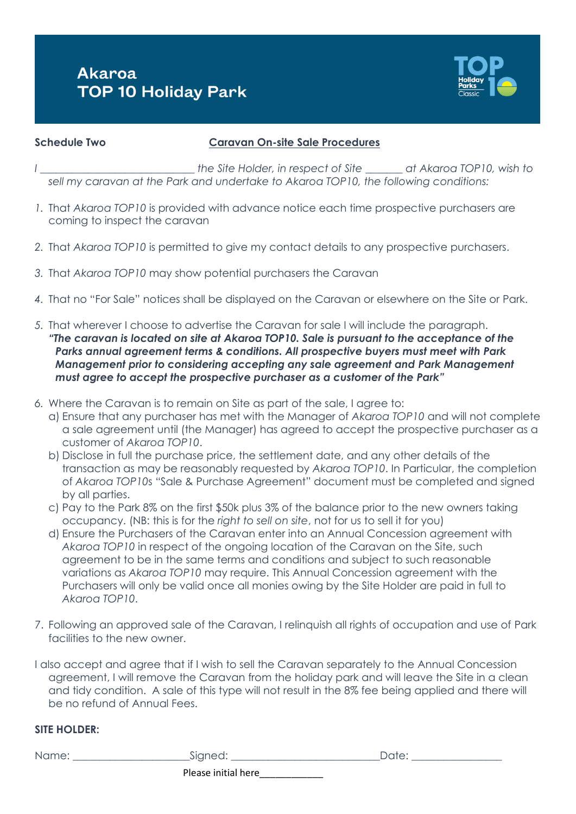# **Akaroa TOP 10 Holiday Park**



### **Schedule Two Caravan On-site Sale Procedures**

- *I \_\_\_\_\_\_\_\_\_\_\_\_\_\_\_\_\_\_\_\_\_\_\_\_\_\_\_\_\_ the Site Holder, in respect of Site \_\_\_\_\_\_\_ at Akaroa TOP10, wish to sell my caravan at the Park and undertake to Akaroa TOP10, the following conditions:*
- *1.* That *Akaroa TOP10* is provided with advance notice each time prospective purchasers are coming to inspect the caravan
- *2.* That *Akaroa TOP10* is permitted to give my contact details to any prospective purchasers.
- *3.* That *Akaroa TOP10* may show potential purchasers the Caravan
- *4.* That no "For Sale" notices shall be displayed on the Caravan or elsewhere on the Site or Park.
- *5.* That wherever I choose to advertise the Caravan for sale I will include the paragraph. *"The caravan is located on site at Akaroa TOP10. Sale is pursuant to the acceptance of the Parks annual agreement terms & conditions. All prospective buyers must meet with Park Management prior to considering accepting any sale agreement and Park Management must agree to accept the prospective purchaser as a customer of the Park"*
- *6.* Where the Caravan is to remain on Site as part of the sale, I agree to:
	- a) Ensure that any purchaser has met with the Manager of *Akaroa TOP10* and will not complete a sale agreement until (the Manager) has agreed to accept the prospective purchaser as a customer of *Akaroa TOP10*.
	- b) Disclose in full the purchase price, the settlement date, and any other details of the transaction as may be reasonably requested by *Akaroa TOP10*. In Particular, the completion of *Akaroa TOP10*s "Sale & Purchase Agreement" document must be completed and signed by all parties.
	- c) Pay to the Park 8% on the first \$50k plus 3% of the balance prior to the new owners taking occupancy. (NB: this is for the *right to sell on site*, not for us to sell it for you)
	- d) Ensure the Purchasers of the Caravan enter into an Annual Concession agreement with *Akaroa TOP10* in respect of the ongoing location of the Caravan on the Site, such agreement to be in the same terms and conditions and subject to such reasonable variations as *Akaroa TOP10* may require. This Annual Concession agreement with the Purchasers will only be valid once all monies owing by the Site Holder are paid in full to *Akaroa TOP10*.
- 7. Following an approved sale of the Caravan, I relinquish all rights of occupation and use of Park facilities to the new owner.
- I also accept and agree that if I wish to sell the Caravan separately to the Annual Concession agreement, I will remove the Caravan from the holiday park and will leave the Site in a clean and tidy condition. A sale of this type will not result in the 8% fee being applied and there will be no refund of Annual Fees.

## **SITE HOLDER:**

| Name: | Signed:             | Date: |
|-------|---------------------|-------|
|       | Please initial here |       |